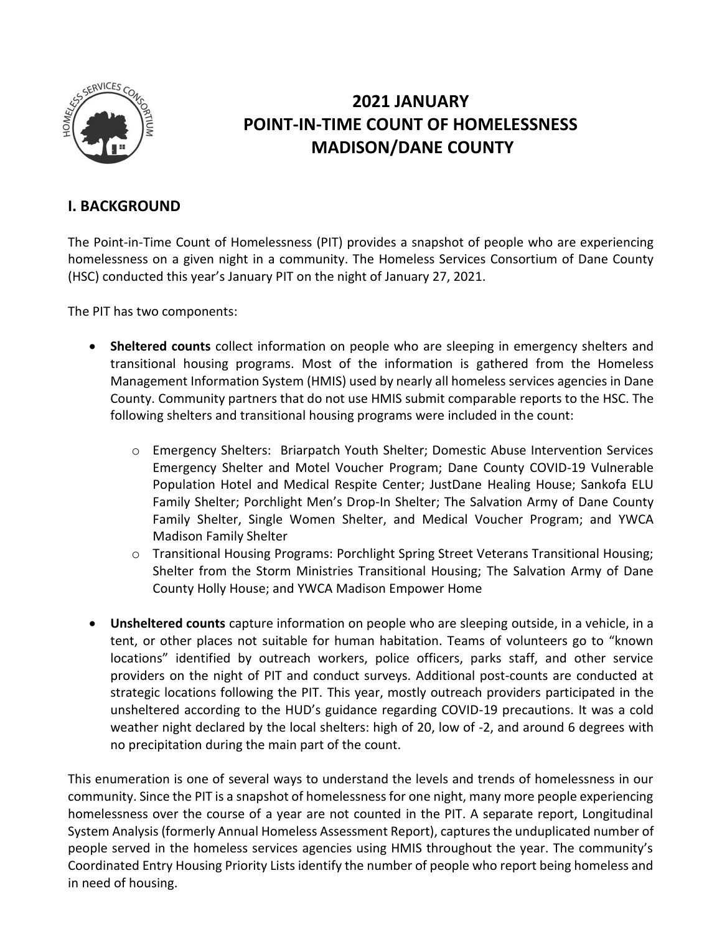

# **2021 JANUARY POINT-IN-TIME COUNT OF HOMELESSNESS MADISON/DANE COUNTY**

### **I. BACKGROUND**

The Point-in-Time Count of Homelessness (PIT) provides a snapshot of people who are experiencing homelessness on a given night in a community. The Homeless Services Consortium of Dane County (HSC) conducted this year's January PIT on the night of January 27, 2021.

The PIT has two components:

- **Sheltered counts** collect information on people who are sleeping in emergency shelters and transitional housing programs. Most of the information is gathered from the Homeless Management Information System (HMIS) used by nearly all homeless services agencies in Dane County. Community partners that do not use HMIS submit comparable reports to the HSC. The following shelters and transitional housing programs were included in the count:
	- o Emergency Shelters: Briarpatch Youth Shelter; Domestic Abuse Intervention Services Emergency Shelter and Motel Voucher Program; Dane County COVID-19 Vulnerable Population Hotel and Medical Respite Center; JustDane Healing House; Sankofa ELU Family Shelter; Porchlight Men's Drop-In Shelter; The Salvation Army of Dane County Family Shelter, Single Women Shelter, and Medical Voucher Program; and YWCA Madison Family Shelter
	- o Transitional Housing Programs: Porchlight Spring Street Veterans Transitional Housing; Shelter from the Storm Ministries Transitional Housing; The Salvation Army of Dane County Holly House; and YWCA Madison Empower Home
- **Unsheltered counts** capture information on people who are sleeping outside, in a vehicle, in a tent, or other places not suitable for human habitation. Teams of volunteers go to "known locations" identified by outreach workers, police officers, parks staff, and other service providers on the night of PIT and conduct surveys. Additional post-counts are conducted at strategic locations following the PIT. This year, mostly outreach providers participated in the unsheltered according to the HUD's guidance regarding COVID-19 precautions. It was a cold weather night declared by the local shelters: high of 20, low of -2, and around 6 degrees with no precipitation during the main part of the count.

This enumeration is one of several ways to understand the levels and trends of homelessness in our community. Since the PIT is a snapshot of homelessness for one night, many more people experiencing homelessness over the course of a year are not counted in the PIT. A separate report, Longitudinal System Analysis (formerly Annual Homeless Assessment Report), captures the unduplicated number of people served in the homeless services agencies using HMIS throughout the year. The community's Coordinated Entry Housing Priority Lists identify the number of people who report being homeless and in need of housing.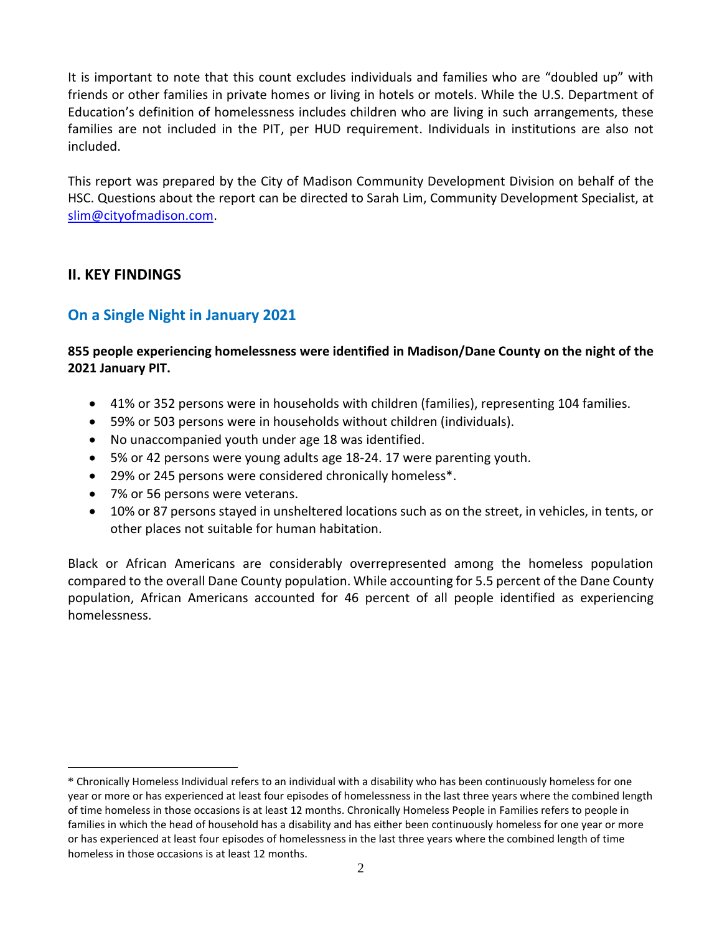It is important to note that this count excludes individuals and families who are "doubled up" with friends or other families in private homes or living in hotels or motels. While the U.S. Department of Education's definition of homelessness includes children who are living in such arrangements, these families are not included in the PIT, per HUD requirement. Individuals in institutions are also not included.

This report was prepared by the City of Madison Community Development Division on behalf of the HSC. Questions about the report can be directed to Sarah Lim, Community Development Specialist, at [slim@cityofmadison.com.](mailto:slim@cityofmadison.com)

### **II. KEY FINDINGS**

 $\overline{a}$ 

## **On a Single Night in January 2021**

### **855 people experiencing homelessness were identified in Madison/Dane County on the night of the 2021 January PIT.**

- 41% or 352 persons were in households with children (families), representing 104 families.
- 59% or 503 persons were in households without children (individuals).
- No unaccompanied youth under age 18 was identified.
- 5% or 42 persons were young adults age 18-24. 17 were parenting youth.
- 29% or 245 persons were considered chronically homeless\*.
- 7% or 56 persons were veterans.
- 10% or 87 persons stayed in unsheltered locations such as on the street, in vehicles, in tents, or other places not suitable for human habitation.

Black or African Americans are considerably overrepresented among the homeless population compared to the overall Dane County population. While accounting for 5.5 percent of the Dane County population, African Americans accounted for 46 percent of all people identified as experiencing homelessness.

<sup>\*</sup> Chronically Homeless Individual refers to an individual with a disability who has been continuously homeless for one year or more or has experienced at least four episodes of homelessness in the last three years where the combined length of time homeless in those occasions is at least 12 months. Chronically Homeless People in Families refers to people in families in which the head of household has a disability and has either been continuously homeless for one year or more or has experienced at least four episodes of homelessness in the last three years where the combined length of time homeless in those occasions is at least 12 months.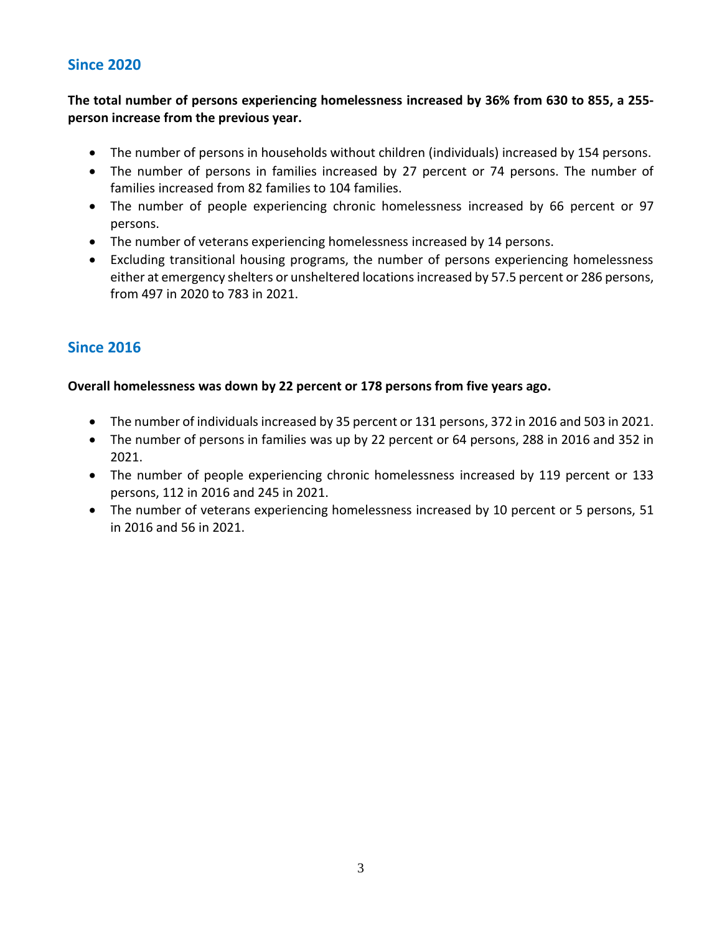## **Since 2020**

**The total number of persons experiencing homelessness increased by 36% from 630 to 855, a 255 person increase from the previous year.**

- The number of persons in households without children (individuals) increased by 154 persons.
- The number of persons in families increased by 27 percent or 74 persons. The number of families increased from 82 families to 104 families.
- The number of people experiencing chronic homelessness increased by 66 percent or 97 persons.
- The number of veterans experiencing homelessness increased by 14 persons.
- Excluding transitional housing programs, the number of persons experiencing homelessness either at emergency shelters or unsheltered locations increased by 57.5 percent or 286 persons, from 497 in 2020 to 783 in 2021.

## **Since 2016**

### **Overall homelessness was down by 22 percent or 178 persons from five years ago.**

- The number of individuals increased by 35 percent or 131 persons, 372 in 2016 and 503 in 2021.
- The number of persons in families was up by 22 percent or 64 persons, 288 in 2016 and 352 in 2021.
- The number of people experiencing chronic homelessness increased by 119 percent or 133 persons, 112 in 2016 and 245 in 2021.
- The number of veterans experiencing homelessness increased by 10 percent or 5 persons, 51 in 2016 and 56 in 2021.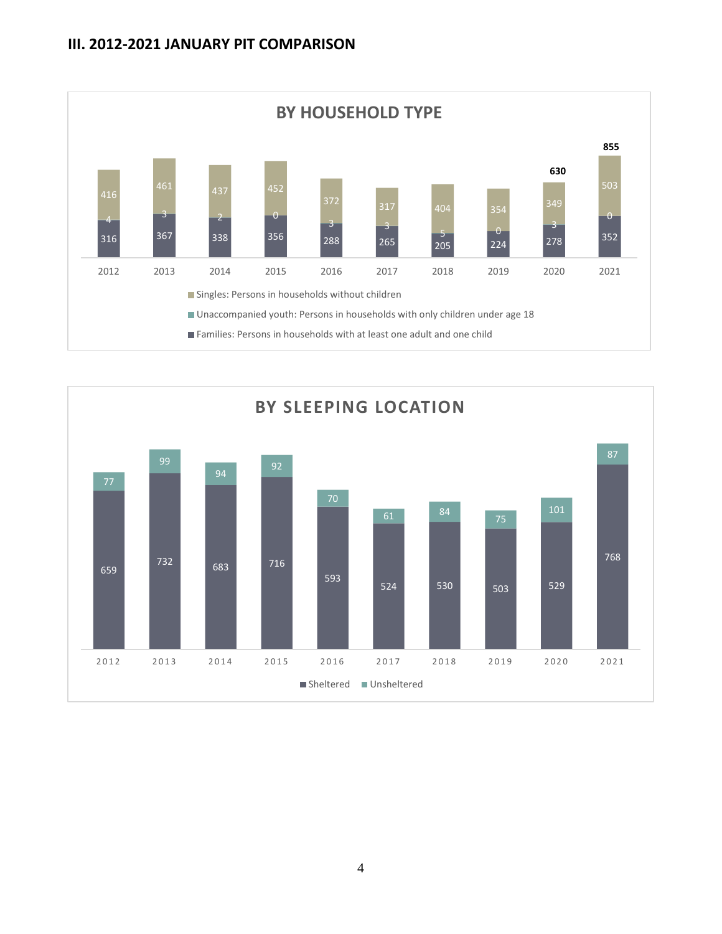

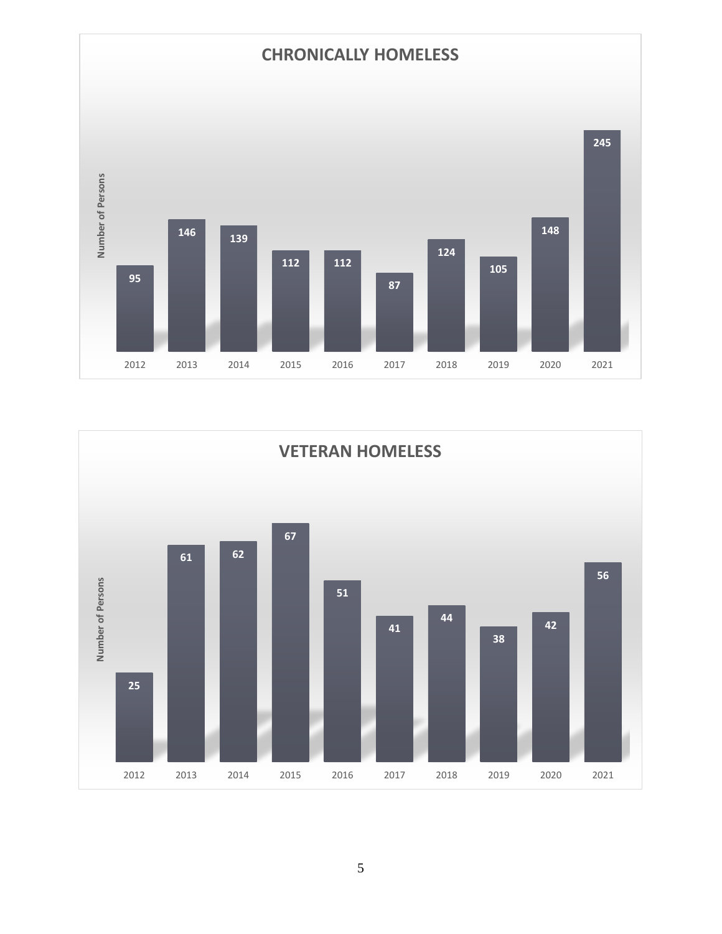

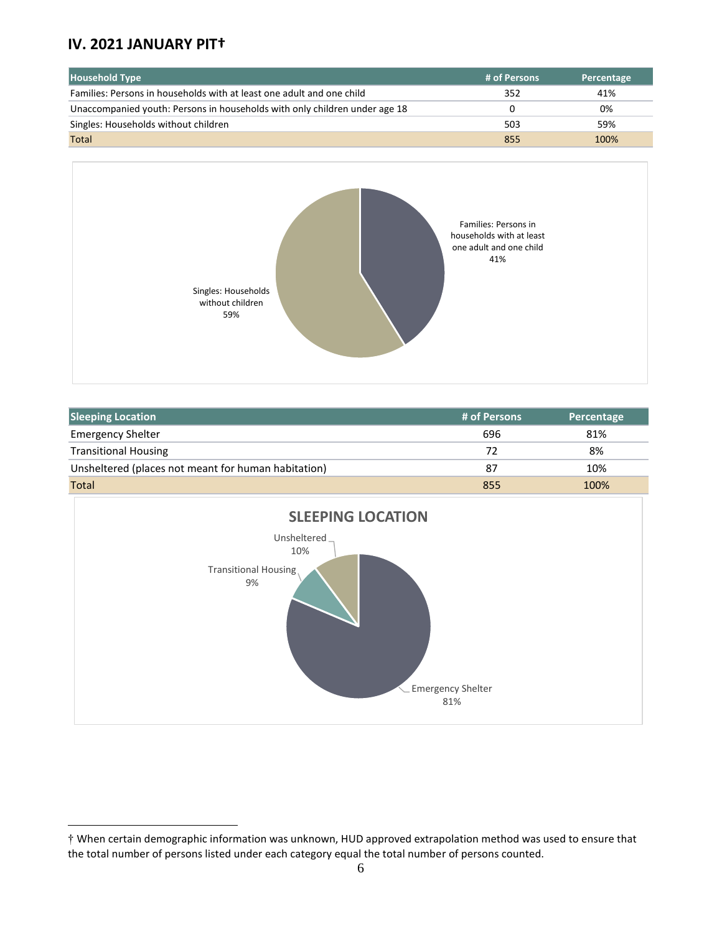## **IV. 2021 JANUARY PIT†**

| <b>Household Type</b>                                                      | # of Persons | Percentage |
|----------------------------------------------------------------------------|--------------|------------|
| Families: Persons in households with at least one adult and one child      | 352          | 41%        |
| Unaccompanied youth: Persons in households with only children under age 18 |              | 0%         |
| Singles: Households without children                                       | 503          | 59%        |
| <b>Total</b>                                                               | 855          | 100%       |



| <b>Sleeping Location</b>                            | # of Persons | Percentage |
|-----------------------------------------------------|--------------|------------|
| <b>Emergency Shelter</b>                            | 696          | 81%        |
| <b>Transitional Housing</b>                         | 72           | 8%         |
| Unsheltered (places not meant for human habitation) | 87           | 10%        |
| Total                                               | 855          | 100%       |



<sup>†</sup> When certain demographic information was unknown, HUD approved extrapolation method was used to ensure that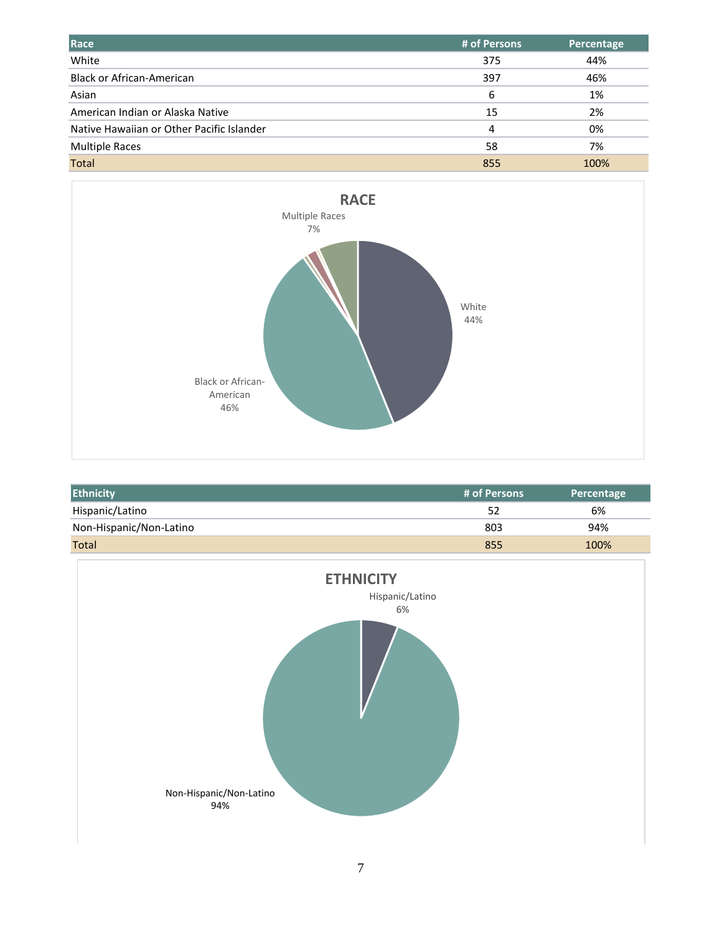| Race                                      | # of Persons | Percentage |
|-------------------------------------------|--------------|------------|
| White                                     | 375          | 44%        |
| <b>Black or African-American</b>          | 397          | 46%        |
| Asian                                     | 6            | 1%         |
| American Indian or Alaska Native          | 15           | 2%         |
| Native Hawaiian or Other Pacific Islander | 4            | 0%         |
| <b>Multiple Races</b>                     | 58           | 7%         |
| Total                                     | 855          | 100%       |



| <b>Ethnicity</b>        | # of Persons | Percentage |
|-------------------------|--------------|------------|
| Hispanic/Latino         | 52           | 6%         |
| Non-Hispanic/Non-Latino | 803          | 94%        |
| <b>Total</b>            | 855          | 100%       |

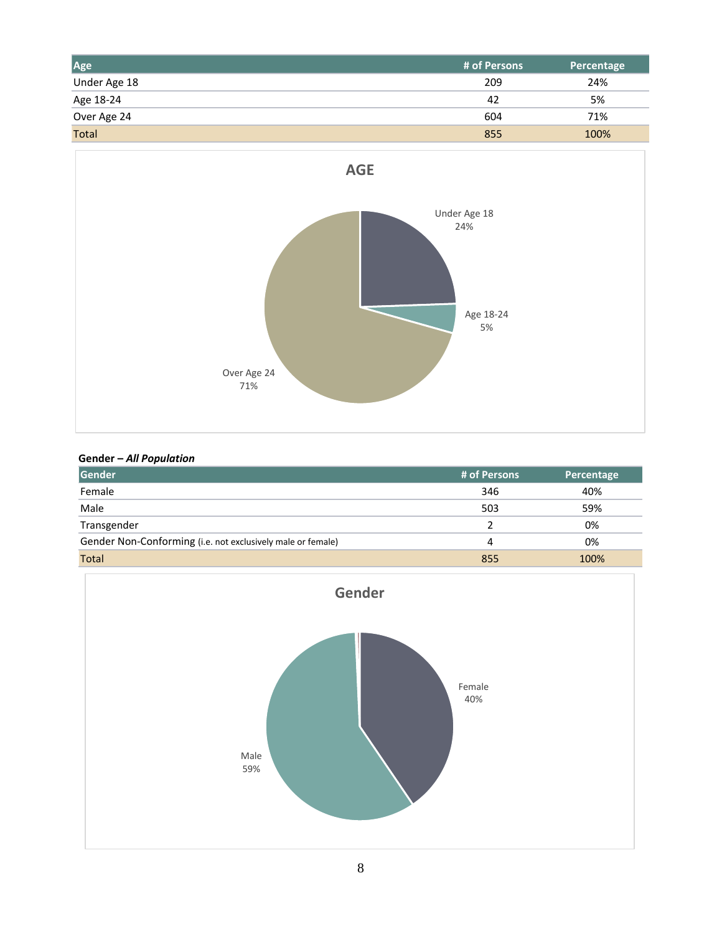| Age          | # of Persons | Percentage |
|--------------|--------------|------------|
| Under Age 18 | 209          | 24%        |
| Age 18-24    | 42           | 5%         |
| Over Age 24  | 604          | 71%        |
| <b>Total</b> | 855          | 100%       |



#### **Gender –** *All Population*

| Gender                                                      | # of Persons | <b>Percentage</b> |
|-------------------------------------------------------------|--------------|-------------------|
| Female                                                      | 346          | 40%               |
| Male                                                        | 503          | 59%               |
| Transgender                                                 |              | 0%                |
| Gender Non-Conforming (i.e. not exclusively male or female) | 4            | 0%                |
| <b>Total</b>                                                | 855          | 100%              |

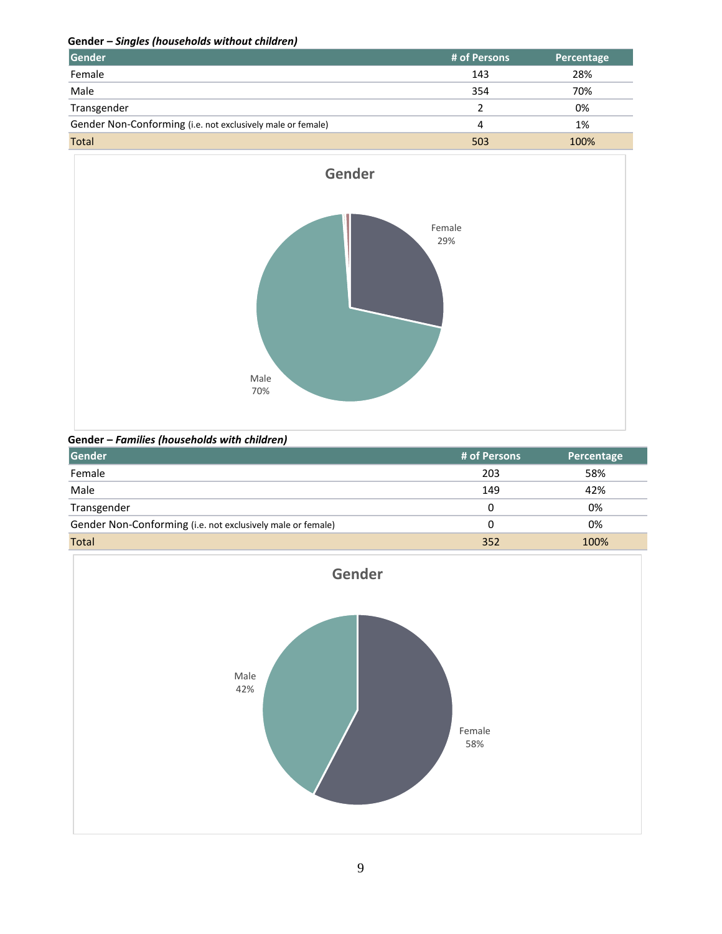**Gender –** *Singles (households without children)*

| Gender                                                      | # of Persons | <b>Percentage</b> |
|-------------------------------------------------------------|--------------|-------------------|
| Female                                                      | 143          | 28%               |
| Male                                                        | 354          | 70%               |
| Transgender                                                 |              | 0%                |
| Gender Non-Conforming (i.e. not exclusively male or female) | 4            | 1%                |
| <b>Total</b>                                                | 503          | 100%              |



**Gender –** *Families (households with children)*

| Gender                                                      | # of Persons | Percentage |
|-------------------------------------------------------------|--------------|------------|
| Female                                                      | 203          | 58%        |
| Male                                                        | 149          | 42%        |
| Transgender                                                 | 0            | 0%         |
| Gender Non-Conforming (i.e. not exclusively male or female) | 0            | 0%         |
| <b>Total</b>                                                | 352          | 100%       |

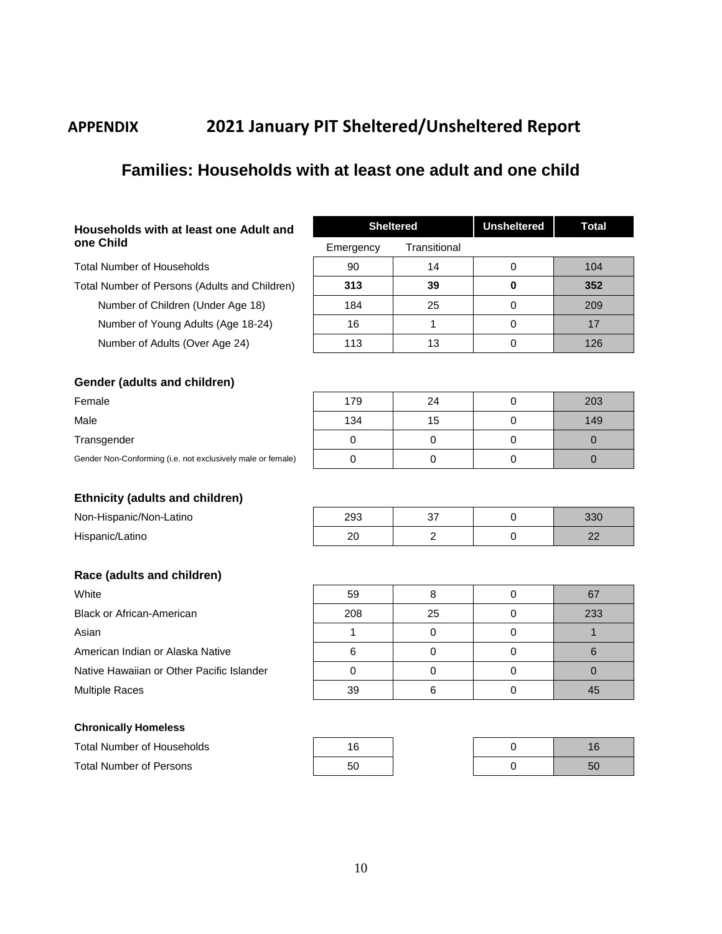# **APPENDIX 2021 January PIT Sheltered/Unsheltered Report**

# **Families: Households with at least one adult and one child**

| Households with at least one Adult and |  |  |  |
|----------------------------------------|--|--|--|
| one Child                              |  |  |  |

Total Number of Households Total Number of Persons (Adults and Children) **313 39 0 352** Number of Children (Under Age 18) Number of Young Adults (Age 18-24) Number of Adults (Over Age 24)

| <b>Sheltered</b> |              | <b>Unsheltered</b> | Total |
|------------------|--------------|--------------------|-------|
| Emergency        | Transitional |                    |       |
| 90               | 14           |                    | 104   |
| 313              | 39           | 0                  | 352   |
| 184              | 25           |                    | 209   |
| 16               |              |                    | 17    |
| 113              | 13           |                    | 126   |

#### **Gender (adults and children)**

| Female                                                      | 179 | 24 | 203 |
|-------------------------------------------------------------|-----|----|-----|
| Male                                                        | 134 | 15 | 149 |
| Transgender                                                 |     |    |     |
| Gender Non-Conforming (i.e. not exclusively male or female) |     |    |     |
|                                                             |     |    |     |

#### **Ethnicity (adults and children)**

| nne<br>∠ວບ |  |  |
|------------|--|--|
|            |  |  |

#### **Race (adults and children)**

Non-Hispanic/Non-Latino

Hispanic/Latino

| White                                     |
|-------------------------------------------|
| <b>Black or African-American</b>          |
| Asian                                     |
| American Indian or Alaska Native          |
| Native Hawaiian or Other Pacific Islander |
| <b>Multiple Races</b>                     |

#### **Chronically Homeless**

| <b>Total Number of Households</b> |    |  |    |
|-----------------------------------|----|--|----|
| <b>Total Number of Persons</b>    | 50 |  | 50 |

| White                                     | 59  |    | 67  |
|-------------------------------------------|-----|----|-----|
| Black or African-American                 | 208 | 25 | 233 |
| Asian                                     |     |    |     |
| American Indian or Alaska Native          |     |    |     |
| Native Hawaiian or Other Pacific Islander |     |    |     |
| <b>Multiple Races</b>                     | 39  |    | 45  |

| 16 |
|----|
| 50 |

| 16 |
|----|
| 50 |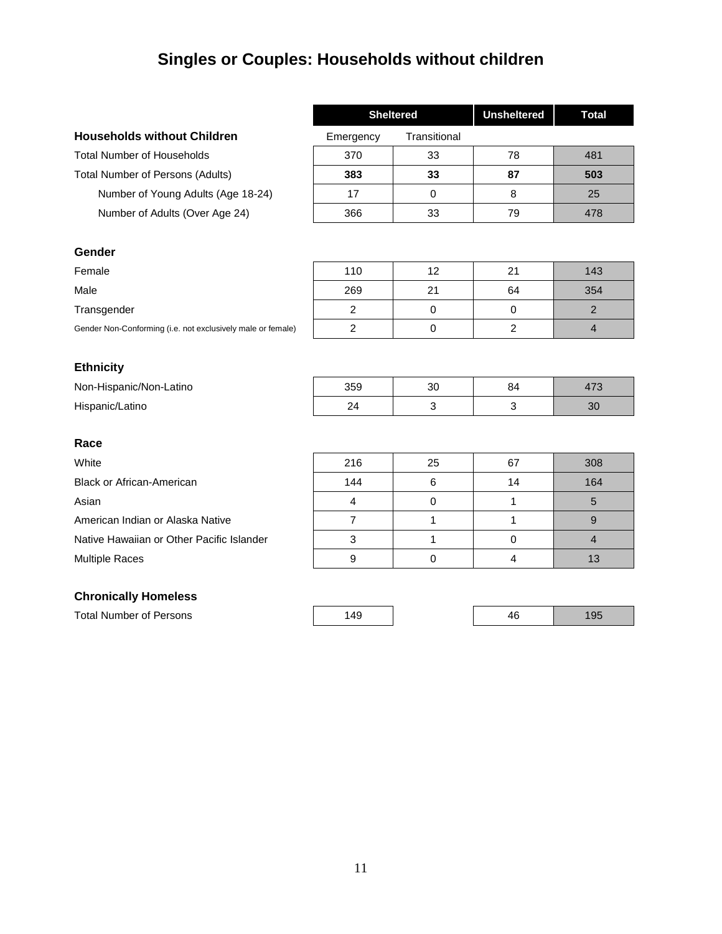# **Singles or Couples: Households without children**

|                                                             | <b>Sheltered</b> |              | <b>Unsheltered</b> | <b>Total</b>   |
|-------------------------------------------------------------|------------------|--------------|--------------------|----------------|
| <b>Households without Children</b>                          | Emergency        | Transitional |                    |                |
| <b>Total Number of Households</b>                           | 370              | 33           | 78                 | 481            |
| <b>Total Number of Persons (Adults)</b>                     | 383              | 33           | 87                 | 503            |
| Number of Young Adults (Age 18-24)                          | 17               | $\mathbf 0$  | 8                  | 25             |
| Number of Adults (Over Age 24)                              | 366              | 33           | 79                 | 478            |
|                                                             |                  |              |                    |                |
| Gender                                                      |                  |              |                    |                |
| Female                                                      | 110              | 12           | 21                 | 143            |
| Male                                                        | 269              | 21           | 64                 | 354            |
| Transgender                                                 | $\overline{c}$   | $\mathbf 0$  | $\mathbf 0$        | $\overline{2}$ |
| Gender Non-Conforming (i.e. not exclusively male or female) | $\overline{c}$   | $\pmb{0}$    | $\overline{c}$     | $\overline{4}$ |
|                                                             |                  |              |                    |                |
| <b>Ethnicity</b>                                            |                  |              |                    |                |
| Non-Hispanic/Non-Latino                                     | 359              | 30           | 84                 | 473            |
| Hispanic/Latino                                             | 24               | 3            | $\mathfrak{Z}$     | 30             |
|                                                             |                  |              |                    |                |
| Race                                                        |                  |              |                    |                |
| White                                                       | 216              | 25           | 67                 | 308            |
| <b>Black or African-American</b>                            | 144              | 6            | 14                 | 164            |
| Asian                                                       | $\overline{4}$   | 0            | 1                  | 5              |
| American Indian or Alaska Native                            | $\overline{7}$   | $\mathbf{1}$ | 1                  | $\mathsf g$    |
| Native Hawaiian or Other Pacific Islander                   | $\mathfrak{Z}$   | 1            | $\mathbf 0$        | $\overline{4}$ |
| <b>Multiple Races</b>                                       | 9                | $\pmb{0}$    | $\overline{4}$     | 13             |
|                                                             |                  |              |                    |                |
| <b>Chronically Homeless</b>                                 |                  |              |                    |                |
| <b>Total Number of Persons</b>                              | 149              |              | 46                 | 195            |